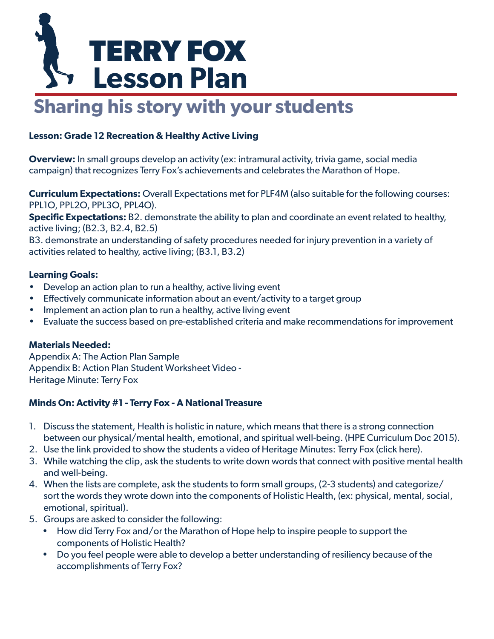# **TERRY FOX Lesson Plan**

## **Sharing his story with your students**

#### **Lesson: Grade 12 Recreation & Healthy Active Living**

**Overview:** In small groups develop an activity (ex: intramural activity, trivia game, social media campaign) that recognizes Terry Fox's achievements and celebrates the Marathon of Hope.

**Curriculum Expectations:** Overall Expectations met for PLF4M (also suitable for the following courses: PPL1O, PPL2O, PPL3O, PPL4O).

**Specific Expectations:** B2. demonstrate the ability to plan and coordinate an event related to healthy, active living; (B2.3, B2.4, B2.5)

B3. demonstrate an understanding of safety procedures needed for injury prevention in a variety of activities related to healthy, active living; (B3.1, B3.2)

#### **Learning Goals:**

- Develop an action plan to run a healthy, active living event
- Effectively communicate information about an event/activity to a target group
- Implement an action plan to run a healthy, active living event
- Evaluate the success based on pre-established criteria and make recommendations for improvement

#### **Materials Needed:**

Appendix A: The Action Plan Sample Appendix B: Action Plan Student Worksheet Video - [Heritage Minute: Terry Fox](https://www.youtube.com/watch?v=H2F9LbF_pF0)

#### **Minds On: Activity #1 - Terry Fox - A National Treasure**

- 1. Discuss the statement, Health is holistic in nature, which means that there is a strong connection between our physical/mental health, emotional, and spiritual well-being. (HPE Curriculum Doc 2015).
- 2. Use the link provided to show the students a video [of Heritage Minutes: Terry Fox \(click here\).](https://www.youtube.com/watch?v=H2F9LbF_pF0)
- 3. While watching the clip, ask the students to write down words that connect with positive mental health and well-being.
- 4. When the lists are complete, ask the students to form small groups, (2-3 students) and categorize/ sort the words they wrote down into the components of Holistic Health, (ex: physical, mental, social, emotional, spiritual).
- 5. Groups are asked to consider the following:
	- How did Terry Fox and/or the Marathon of Hope help to inspire people to support the components of Holistic Health?
	- Do you feel people were able to develop a better understanding of resiliency because of the accomplishments of Terry Fox?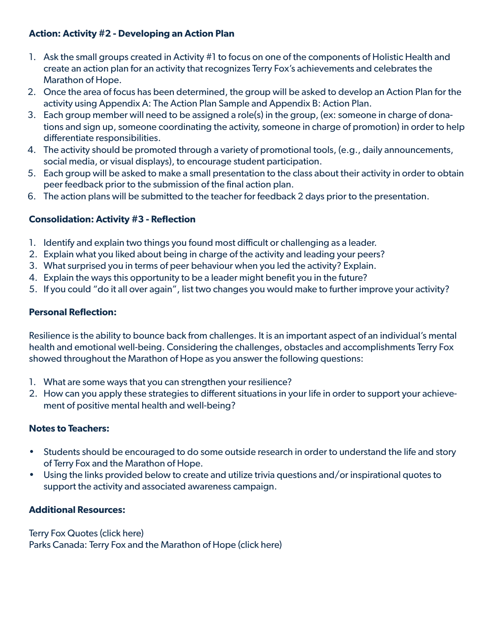#### **Action: Activity #2 - Developing an Action Plan**

- 1. Ask the small groups created in Activity #1 to focus on one of the components of Holistic Health and create an action plan for an activity that recognizes Terry Fox's achievements and celebrates the Marathon of Hope.
- 2. Once the area of focus has been determined, the group will be asked to develop an Action Plan for the activity using Appendix A: The Action Plan Sample and Appendix B: Action Plan.
- 3. Each group member will need to be assigned a role(s) in the group, (ex: someone in charge of donations and sign up, someone coordinating the activity, someone in charge of promotion) in order to help differentiate responsibilities.
- 4. The activity should be promoted through a variety of promotional tools, (e.g., daily announcements, social media, or visual displays), to encourage student participation.
- 5. Each group will be asked to make a small presentation to the class about their activity in order to obtain peer feedback prior to the submission of the final action plan.
- 6. The action plans will be submitted to the teacher for feedback 2 days prior to the presentation.

#### **Consolidation: Activity #3 - Reflection**

- 1. Identify and explain two things you found most difficult or challenging as a leader.
- 2. Explain what you liked about being in charge of the activity and leading your peers?
- 3. What surprised you in terms of peer behaviour when you led the activity? Explain.
- 4. Explain the ways this opportunity to be a leader might benefit you in the future?
- 5. If you could "do it all over again", list two changes you would make to further improve your activity?

#### **Personal Reflection:**

Resilience is the ability to bounce back from challenges. It is an important aspect of an individual's mental health and emotional well-being. Considering the challenges, obstacles and accomplishments Terry Fox showed throughout the Marathon of Hope as you answer the following questions:

- 1. What are some ways that you can strengthen your resilience?
- 2. How can you apply these strategies to different situations in your life in order to support your achievement of positive mental health and well-being?

#### **Notes to Teachers:**

- Students should be encouraged to do some outside research in order to understand the life and story of Terry Fox and the Marathon of Hope.
- Using the links provided below to create and utilize trivia questions and/or inspirational quotes to support the activity and associated awareness campaign.

#### **Additional Resources:**

#### [Terry Fox Quotes \(click here\)](https://terryfox.org/terrys-story/quotes/) [Parks Canada: Terry Fox and the Marathon of Hope \(click here\)](https://www.pc.gc.ca/en/culture/cseh-twih/202014)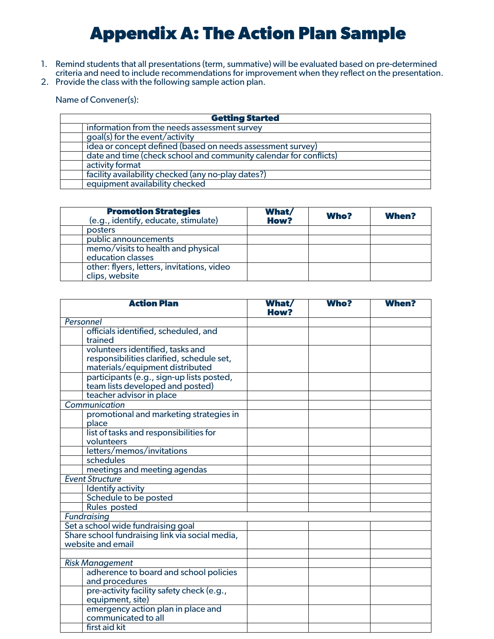### **Appendix A: The Action Plan Sample**

- 1. Remind students that all presentations (term, summative) will be evaluated based on pre-determined criteria and need to include recommendations for improvement when they reflect on the presentation.
- 2. Provide the class with the following sample action plan.

Name of Convener(s):

| <b>Getting Started</b>                                            |  |  |
|-------------------------------------------------------------------|--|--|
| information from the needs assessment survey                      |  |  |
| goal(s) for the event/activity                                    |  |  |
| idea or concept defined (based on needs assessment survey)        |  |  |
| date and time (check school and community calendar for conflicts) |  |  |
| activity format                                                   |  |  |
| facility availability checked (any no-play dates?)                |  |  |
| equipment availability checked                                    |  |  |
|                                                                   |  |  |

| <b>Promotion Strategies</b><br>(e.g., identify, educate, stimulate) | What/<br><b>How?</b> | <b>Who?</b> | <b>When?</b> |
|---------------------------------------------------------------------|----------------------|-------------|--------------|
| posters                                                             |                      |             |              |
| public announcements                                                |                      |             |              |
| memo/visits to health and physical<br>education classes             |                      |             |              |
| other: flyers, letters, invitations, video<br>clips, website        |                      |             |              |

| <b>Action Plan</b>                              | <b>What/</b><br><b>How?</b> | <b>Who?</b> | <b>When?</b> |
|-------------------------------------------------|-----------------------------|-------------|--------------|
| Personnel                                       |                             |             |              |
| officials identified, scheduled, and            |                             |             |              |
| trained                                         |                             |             |              |
| volunteers identified, tasks and                |                             |             |              |
| responsibilities clarified, schedule set,       |                             |             |              |
| materials/equipment distributed                 |                             |             |              |
| participants (e.g., sign-up lists posted,       |                             |             |              |
| team lists developed and posted)                |                             |             |              |
| teacher advisor in place                        |                             |             |              |
| Communication                                   |                             |             |              |
| promotional and marketing strategies in         |                             |             |              |
| place                                           |                             |             |              |
| list of tasks and responsibilities for          |                             |             |              |
| volunteers                                      |                             |             |              |
| letters/memos/invitations                       |                             |             |              |
| schedules                                       |                             |             |              |
| meetings and meeting agendas                    |                             |             |              |
| <b>Event Structure</b>                          |                             |             |              |
| Identify activity                               |                             |             |              |
| Schedule to be posted                           |                             |             |              |
| <b>Rules posted</b>                             |                             |             |              |
| <b>Fundraising</b>                              |                             |             |              |
| Set a school wide fundraising goal              |                             |             |              |
| Share school fundraising link via social media, |                             |             |              |
| website and email                               |                             |             |              |
|                                                 |                             |             |              |
| <b>Risk Management</b>                          |                             |             |              |
| adherence to board and school policies          |                             |             |              |
| and procedures                                  |                             |             |              |
| pre-activity facility safety check (e.g.,       |                             |             |              |
| equipment, site)                                |                             |             |              |
| emergency action plan in place and              |                             |             |              |
| communicated to all                             |                             |             |              |
| first aid kit                                   |                             |             |              |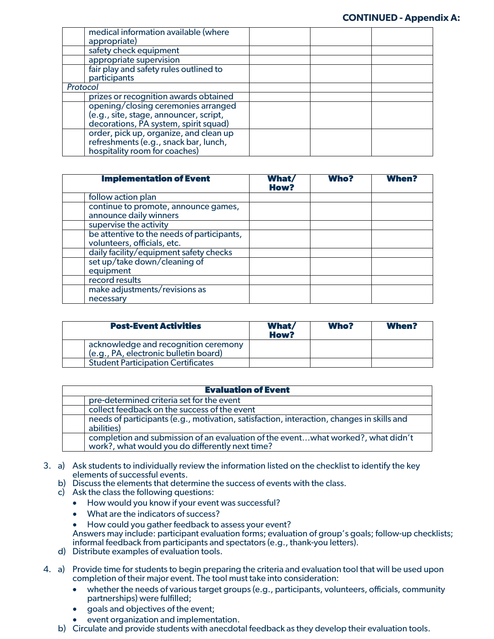|          | medical information available (where   |
|----------|----------------------------------------|
|          | appropriate)                           |
|          | safety check equipment                 |
|          | appropriate supervision                |
|          | fair play and safety rules outlined to |
|          | participants                           |
| Protocol |                                        |
|          | prizes or recognition awards obtained  |
|          | opening/closing ceremonies arranged    |
|          | (e.g., site, stage, announcer, script, |
|          | decorations, PA system, spirit squad)  |
|          | order, pick up, organize, and clean up |
|          | refreshments (e.g., snack bar, lunch,  |
|          | hospitality room for coaches)          |

| <b>Implementation of Event</b>                                            | <b>What</b><br><b>How?</b> | <b>Who?</b> | <b>When?</b> |
|---------------------------------------------------------------------------|----------------------------|-------------|--------------|
| follow action plan                                                        |                            |             |              |
| continue to promote, announce games,<br>announce daily winners            |                            |             |              |
| supervise the activity                                                    |                            |             |              |
| be attentive to the needs of participants,<br>volunteers, officials, etc. |                            |             |              |
| daily facility/equipment safety checks                                    |                            |             |              |
| set up/take down/cleaning of<br>equipment                                 |                            |             |              |
| record results                                                            |                            |             |              |
| make adjustments/revisions as<br>necessary                                |                            |             |              |

| <b>Post-Event Activities</b>                                                  | What/<br><b>How?</b> | <b>Who?</b> | <b>When?</b> |
|-------------------------------------------------------------------------------|----------------------|-------------|--------------|
| acknowledge and recognition ceremony<br>(e.g., PA, electronic bulletin board) |                      |             |              |
| <b>Student Participation Certificates</b>                                     |                      |             |              |

|  | <b>Evaluation of Event</b>                                                                                                          |  |  |  |
|--|-------------------------------------------------------------------------------------------------------------------------------------|--|--|--|
|  | pre-determined criteria set for the event                                                                                           |  |  |  |
|  | collect feedback on the success of the event                                                                                        |  |  |  |
|  | needs of participants (e.g., motivation, satisfaction, interaction, changes in skills and<br>abilities)                             |  |  |  |
|  | completion and submission of an evaluation of the eventwhat worked?, what didn't<br>work?, what would you do differently next time? |  |  |  |

- 3. a) Ask students to individually review the information listed on the checklist to identify the key elements of successful events.
	- b) Discuss the elements that determine the success of events with the class.
	- c) Ask the class the following questions:
		- How would you know if your event was successful?
		- What are the indicators of success?
		- How could you gather feedback to assess your event? Answers may include: participant evaluation forms; evaluation of group's goals; follow-up checklists; informal feedback from participants and spectators (e.g., thank-you letters).
	- d) Distribute examples of evaluation tools.
- 4. a) Provide time for students to begin preparing the criteria and evaluation tool that will be used upon completion of their major event. The tool must take into consideration:
	- whether the needs of various target groups (e.g., participants, volunteers, officials, community partnerships) were fulfilled;
	- goals and objectives of the event;
	- event organization and implementation.
	- b) Circulate and provide students with anecdotal feedback as they develop their evaluation tools.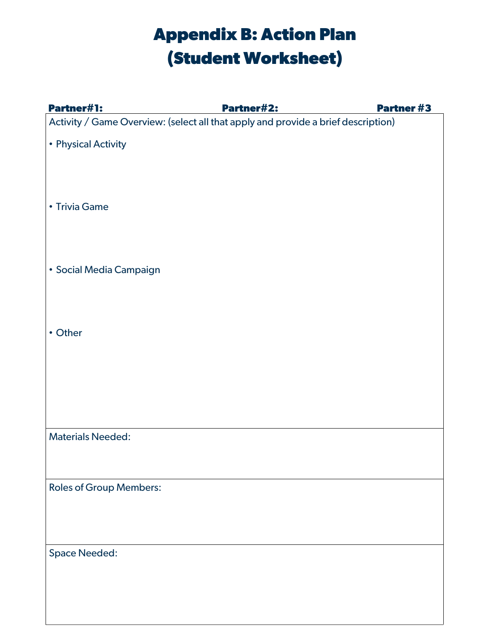## **Appendix B: Action Plan (Student Worksheet)**

| <b>Partner#1:</b>                                                                 | <b>Partner#2:</b> | <b>Partner #3</b> |
|-----------------------------------------------------------------------------------|-------------------|-------------------|
| Activity / Game Overview: (select all that apply and provide a brief description) |                   |                   |
| • Physical Activity                                                               |                   |                   |
| • Trivia Game                                                                     |                   |                   |
| · Social Media Campaign                                                           |                   |                   |
| • Other                                                                           |                   |                   |
| <b>Materials Needed:</b>                                                          |                   |                   |
| <b>Roles of Group Members:</b>                                                    |                   |                   |
| <b>Space Needed:</b>                                                              |                   |                   |